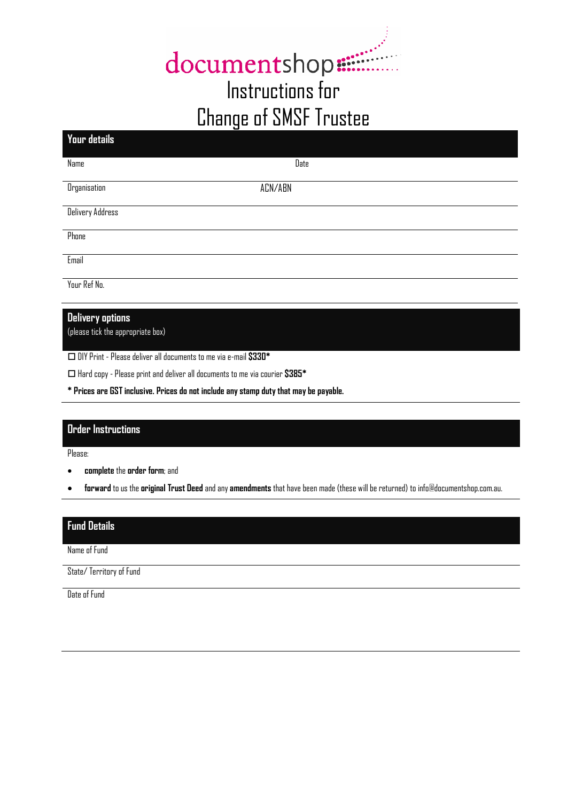# documentshop. Instructions for Change of SMSF Trustee

| Date    |
|---------|
| ACN/ABN |
|         |
|         |
|         |
|         |
|         |

# **Delivery options**

(please tick the appropriate box)

DIY Print - Please deliver all documents to me via e-mail **\$330\***

Hard copy - Please print and deliver all documents to me via courier **\$385\***

**\* Prices are GST inclusive. Prices do not include any stamp duty that may be payable.**

### **Order Instructions**

Please:

- **complete** the **order form**; and
- **forward** to us the **original Trust Deed** and any **amendments** that have been made (these will be returned) to info@documentshop.com.au.

# **Fund Details**

Name of Fund

State/ Territory of Fund

Date of Fund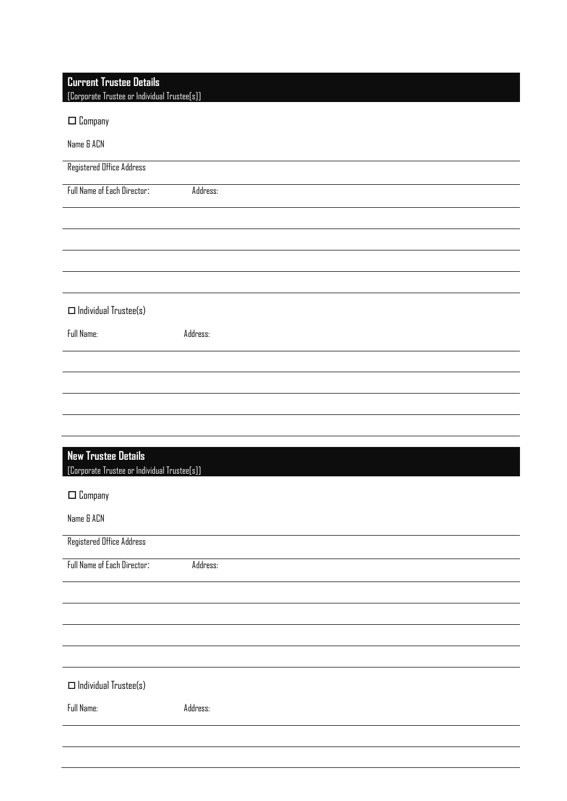| <b>Current Trustee Details</b><br>[Corporate Trustee or Individual Trustee[s]] |          |
|--------------------------------------------------------------------------------|----------|
| $\square$ Company                                                              |          |
| Name & ACN                                                                     |          |
| Registered Office Address                                                      |          |
| Full Name of Each Director:                                                    | Address: |
|                                                                                |          |
|                                                                                |          |
|                                                                                |          |
|                                                                                |          |
| $\Box$ Individual Trustee(s)                                                   |          |
| Full Name:                                                                     | Address: |
|                                                                                |          |
|                                                                                |          |
|                                                                                |          |
|                                                                                |          |
| <b>New Trustee Details</b>                                                     |          |
| [Corporate Trustee or Individual Trustee[s]]                                   |          |
| $\Box$ Company                                                                 |          |
| Name & ACN                                                                     |          |
| <b>Registered Office Address</b>                                               |          |
| Full Name of Each Director:                                                    | Address: |
|                                                                                |          |
|                                                                                |          |
|                                                                                |          |
|                                                                                |          |
| $\square$ Individual Trustee(s)                                                |          |
| Full Name:                                                                     | Address: |
|                                                                                |          |
|                                                                                |          |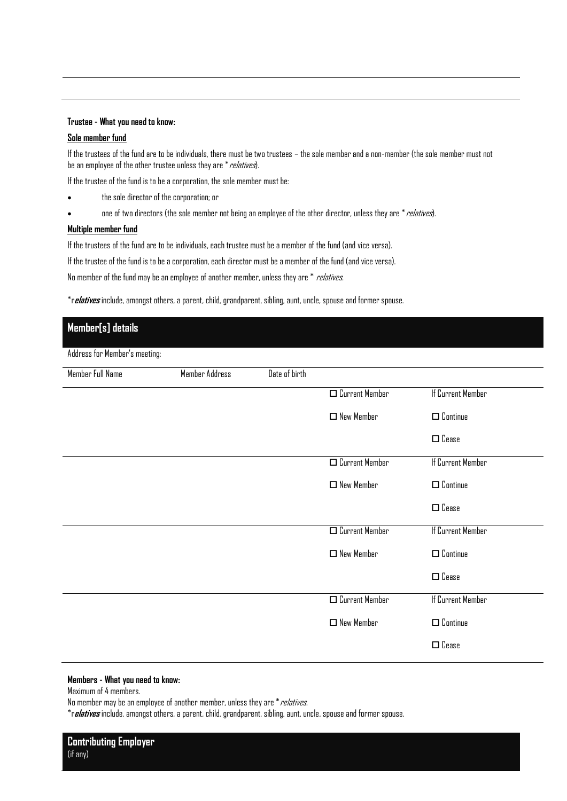### **Trustee - What you need to know:**

### **Sole member fund**

If the trustees of the fund are to be individuals, there must be two trustees – the sole member and a non-member (the sole member must not be an employee of the other trustee unless they are  $*$  relatives).

If the trustee of the fund is to be a corporation, the sole member must be:

- the sole director of the corporation; or
- one of two directors (the sole member not being an employee of the other director, unless they are \* *relatives*).

### **Multiple member fund**

If the trustees of the fund are to be individuals, each trustee must be a member of the fund (and vice versa).

If the trustee of the fund is to be a corporation, each director must be a member of the fund (and vice versa).

No member of the fund may be an employee of another member, unless they are \* *relatives*.

\*r**elatives** include, amongst others, a parent, child, grandparent, sibling, aunt, uncle, spouse and former spouse.

# **Member[s] details** Address for Member's meeting:

| Member Full Name | Member Address | Date of birth |                          |                    |
|------------------|----------------|---------------|--------------------------|--------------------|
|                  |                |               | $\square$ Current Member | If Current Member  |
|                  |                |               | $\Box$ New Member        | $\square$ Continue |
|                  |                |               |                          | $\square$ Cease    |
|                  |                |               | $\square$ Current Member | If Current Member  |
|                  |                |               | $\Box$ New Member        | $\square$ Continue |
|                  |                |               |                          | $\square$ Cease    |
|                  |                |               | $\square$ Current Member | If Current Member  |
|                  |                |               | $\Box$ New Member        | $\square$ Continue |
|                  |                |               |                          | $\square$ Cease    |
|                  |                |               | $\square$ Current Member | If Current Member  |
|                  |                |               | $\Box$ New Member        | $\square$ Continue |
|                  |                |               |                          | $\square$ Cease    |

### **Members - What you need to know:**

Maximum of 4 members.

No member may be an employee of another member, unless they are \* relatives.

\*r**elatives** include, amongst others, a parent, child, grandparent, sibling, aunt, uncle, spouse and former spouse.